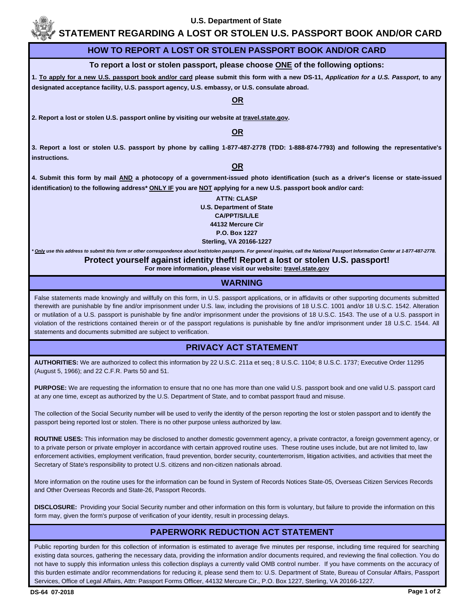

# **STATEMENT REGARDING A LOST OR STOLEN U.S. PASSPORT BOOK AND/OR CARD**

#### **HOW TO REPORT A LOST OR STOLEN PASSPORT BOOK AND/OR CARD**

#### **To report a lost or stolen passport, please choose ONE of the following options:**

**1. To apply for a new U.S. passport book and/or card please submit this form with a new DS-11,** *Application for a U.S. Passport***, to any designated acceptance facility, U.S. passport agency, U.S. embassy, or U.S. consulate abroad.** 

#### **OR**

2. Report a lost or stolen U.S. passport online by visiting our website at **travel.state.gov.** 

#### **OR**

**3. Report a lost or stolen U.S. passport by phone by calling 1-877-487-2778 (TDD: 1-888-874-7793) and following the representative's instructions.**

#### **OR**

**4. Submit this form by mail AND a photocopy of a government-issued photo identification (such as a driver's license or state-issued identification) to the following address\* ONLY IF you are NOT applying for a new U.S. passport book and/or card:**

> **ATTN: CLASP U.S. Department of State CA/PPT/S/L/LE 44132 Mercure Cir P.O. Box 1227 Sterling, VA 20166-1227**

#### *\* Only use this address to submit this form or other correspondence about lost/stolen passports. For general inquiries, call the National Passport Information Center at 1-877-487-2778.*

**Protect yourself against identity theft! Report a lost or stolen U.S. passport! For more information, please visit our website: travel.state.gov**

#### **WARNING**

False statements made knowingly and willfully on this form, in U.S. passport applications, or in affidavits or other supporting documents submitted therewith are punishable by fine and/or imprisonment under U.S. law, including the provisions of 18 U.S.C. 1001 and/or 18 U.S.C. 1542. Alteration or mutilation of a U.S. passport is punishable by fine and/or imprisonment under the provisions of 18 U.S.C. 1543. The use of a U.S. passport in violation of the restrictions contained therein or of the passport regulations is punishable by fine and/or imprisonment under 18 U.S.C. 1544. All statements and documents submitted are subject to verification.

## **PRIVACY ACT STATEMENT**

**AUTHORITIES:** We are authorized to collect this information by 22 U.S.C. 211a et seq.; 8 U.S.C. 1104; 8 U.S.C. 1737; Executive Order 11295 (August 5, 1966); and 22 C.F.R. Parts 50 and 51.

**PURPOSE:** We are requesting the information to ensure that no one has more than one valid U.S. passport book and one valid U.S. passport card at any one time, except as authorized by the U.S. Department of State, and to combat passport fraud and misuse.

The collection of the Social Security number will be used to verify the identity of the person reporting the lost or stolen passport and to identify the passport being reported lost or stolen. There is no other purpose unless authorized by law.

**ROUTINE USES:** This information may be disclosed to another domestic government agency, a private contractor, a foreign government agency, or to a private person or private employer in accordance with certain approved routine uses. These routine uses include, but are not limited to, law enforcement activities, employment verification, fraud prevention, border security, counterterrorism, litigation activities, and activities that meet the Secretary of State's responsibility to protect U.S. citizens and non-citizen nationals abroad.

More information on the routine uses for the information can be found in System of Records Notices State-05, Overseas Citizen Services Records and Other Overseas Records and State-26, Passport Records.

**DISCLOSURE:** Providing your Social Security number and other information on this form is voluntary, but failure to provide the information on this form may, given the form's purpose of verification of your identity, result in processing delays.

### **PAPERWORK REDUCTION ACT STATEMENT**

Public reporting burden for this collection of information is estimated to average five minutes per response, including time required for searching existing data sources, gathering the necessary data, providing the information and/or documents required, and reviewing the final collection. You do not have to supply this information unless this collection displays a currently valid OMB control number. If you have comments on the accuracy of this burden estimate and/or recommendations for reducing it, please send them to: U.S. Department of State, Bureau of Consular Affairs, Passport Services, Office of Legal Affairs, Attn: Passport Forms Officer, 44132 Mercure Cir., P.O. Box 1227, Sterling, VA 20166-1227.

l